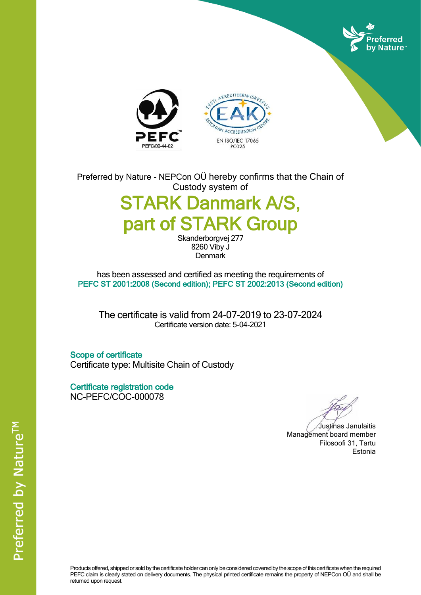





Preferred by Nature - NEPCon OÜ hereby confirms that the Chain of Custody system of

# STARK Danmark A/S, part of STARK Group

Skanderborgvej 277 8260 Viby J **Denmark** 

has been assessed and certified as meeting the requirements of PEFC ST 2001:2008 (Second edition); PEFC ST 2002:2013 (Second edition)

The certificate is valid from 24-07-2019 to 23-07-2024 Certificate version date: 5-04-2021

Scope of certificate Certificate type: Multisite Chain of Custody

Certificate registration code NC-PEFC/COC-000078

Justinas Janulaitis Management board member Filosoofi 31, Tartu Estonia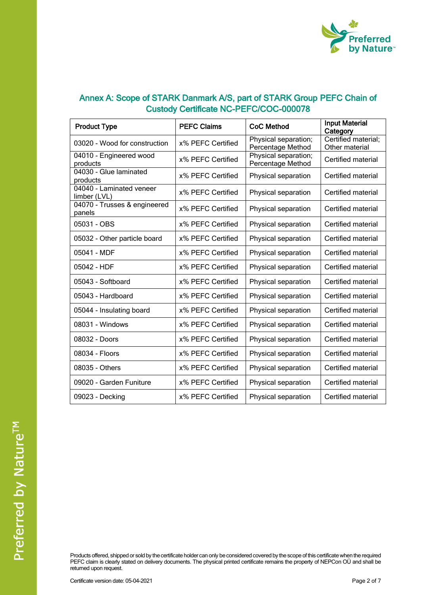

| <b>Product Type</b>                      | <b>PEFC Claims</b> | <b>CoC Method</b>                         | <b>Input Material</b><br>Category     |
|------------------------------------------|--------------------|-------------------------------------------|---------------------------------------|
| 03020 - Wood for construction            | x% PEFC Certified  | Physical separation;<br>Percentage Method | Certified material;<br>Other material |
| 04010 - Engineered wood<br>products      | x% PEFC Certified  | Physical separation;<br>Percentage Method | Certified material                    |
| 04030 - Glue laminated<br>products       | x% PEFC Certified  | Physical separation                       | Certified material                    |
| 04040 - Laminated veneer<br>limber (LVL) | x% PEFC Certified  | Physical separation                       | Certified material                    |
| 04070 - Trusses & engineered<br>panels   | x% PEFC Certified  | Physical separation                       | Certified material                    |
| 05031 - OBS                              | x% PEFC Certified  | Physical separation                       | Certified material                    |
| 05032 - Other particle board             | x% PEFC Certified  | Physical separation                       | Certified material                    |
| 05041 - MDF                              | x% PEFC Certified  | Physical separation                       | Certified material                    |
| 05042 - HDF                              | x% PEFC Certified  | Physical separation                       | Certified material                    |
| 05043 - Softboard                        | x% PEFC Certified  | Physical separation                       | Certified material                    |
| 05043 - Hardboard                        | x% PEFC Certified  | Physical separation                       | Certified material                    |
| 05044 - Insulating board                 | x% PEFC Certified  | Physical separation                       | Certified material                    |
| 08031 - Windows                          | x% PEFC Certified  | Physical separation                       | Certified material                    |
| 08032 - Doors                            | x% PEFC Certified  | Physical separation                       | Certified material                    |
| 08034 - Floors                           | x% PEFC Certified  | Physical separation                       | Certified material                    |
| 08035 - Others                           | x% PEFC Certified  | Physical separation                       | Certified material                    |
| 09020 - Garden Funiture                  | x% PEFC Certified  | Physical separation                       | Certified material                    |
| 09023 - Decking                          | x% PEFC Certified  | Physical separation                       | Certified material                    |

Products offered, shipped or sold by the certificate holder can only be considered covered by the scope of this certificate when the required PEFC claim is clearly stated on delivery documents. The physical printed certificate remains the property of NEPCon OU and shall be returned upon request.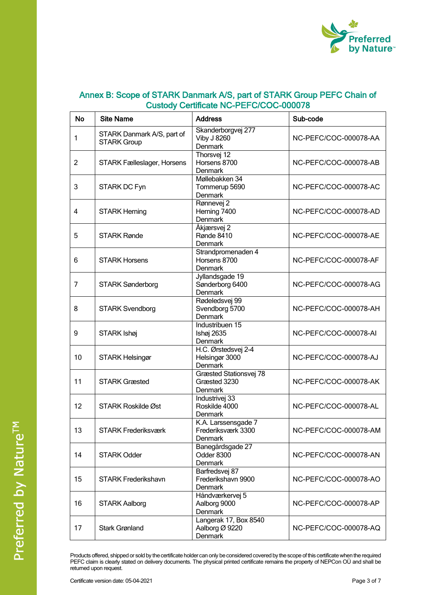

| <b>No</b>      | <b>Site Name</b>                                 | <b>Address</b>                                       | Sub-code              |
|----------------|--------------------------------------------------|------------------------------------------------------|-----------------------|
| 1              | STARK Danmark A/S, part of<br><b>STARK Group</b> | Skanderborgvej 277<br><b>Viby J 8260</b><br>Denmark  | NC-PEFC/COC-000078-AA |
| $\overline{2}$ | STARK Fælleslager, Horsens                       | Thorsvej 12<br>Horsens 8700<br>Denmark               | NC-PEFC/COC-000078-AB |
| 3              | STARK DC Fyn                                     | Møllebakken 34<br>Tommerup 5690<br><b>Denmark</b>    | NC-PEFC/COC-000078-AC |
| 4              | <b>STARK Herning</b>                             | Rønnevej 2<br>Herning 7400<br><b>Denmark</b>         | NC-PEFC/COC-000078-AD |
| 5              | <b>STARK Rønde</b>                               | Åkjærsvej 2<br>Rønde 8410<br>Denmark                 | NC-PEFC/COC-000078-AE |
| 6              | <b>STARK Horsens</b>                             | Strandpromenaden 4<br>Horsens 8700<br>Denmark        | NC-PEFC/COC-000078-AF |
| 7              | <b>STARK Sønderborg</b>                          | Jyllandsgade 19<br>Sønderborg 6400<br><b>Denmark</b> | NC-PEFC/COC-000078-AG |
| 8              | <b>STARK Svendborg</b>                           | Rødeledsvej 99<br>Svendborg 5700<br>Denmark          | NC-PEFC/COC-000078-AH |
| 9              | STARK Ishøj                                      | Industribuen 15<br>Ishøj 2635<br>Denmark             | NC-PEFC/COC-000078-AI |
| 10             | <b>STARK Helsingør</b>                           | H.C. Ørstedsvej 2-4<br>Helsingør 3000<br>Denmark     | NC-PEFC/COC-000078-AJ |
| 11             | <b>STARK Græsted</b>                             | Græsted Stationsvej 78<br>Græsted 3230<br>Denmark    | NC-PEFC/COC-000078-AK |
| 12             | STARK Roskilde Øst                               | Industrivej 33<br>Roskilde 4000<br>Denmark           | NC-PEFC/COC-000078-AL |
| 13             | <b>STARK Frederiksværk</b>                       | K.A. Larssensgade 7<br>Frederiksværk 3300<br>Denmark | NC-PEFC/COC-000078-AM |
| 14             | <b>STARK Odder</b>                               | Banegårdsgade 27<br>Odder 8300<br><b>Denmark</b>     | NC-PEFC/COC-000078-AN |
| 15             | <b>STARK Frederikshavn</b>                       | Barfredsvej 87<br>Frederikshavn 9900<br>Denmark      | NC-PEFC/COC-000078-AO |
| 16             | <b>STARK Aalborg</b>                             | Håndværkervej 5<br>Aalborg 9000<br>Denmark           | NC-PEFC/COC-000078-AP |
| 17             | <b>Stark Grønland</b>                            | Langerak 17, Box 8540<br>Aalborg Ø 9220<br>Denmark   | NC-PEFC/COC-000078-AQ |

Products offered, shipped or sold by the certificate holder can only be considered covered by the scope of this certificate when the required PEFC claim is clearly stated on delivery documents. The physical printed certificate remains the property of NEPCon OU and shall be returned upon request.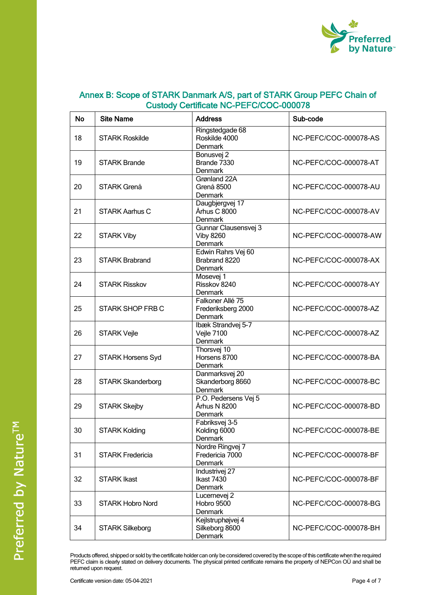

| <b>No</b> | <b>Site Name</b>         | <b>Address</b>                                      | Sub-code              |
|-----------|--------------------------|-----------------------------------------------------|-----------------------|
| 18        | <b>STARK Roskilde</b>    | Ringstedgade 68<br>Roskilde 4000<br>Denmark         | NC-PEFC/COC-000078-AS |
| 19        | <b>STARK Brande</b>      | Bonusvej <sub>2</sub><br>Brande 7330<br>Denmark     | NC-PEFC/COC-000078-AT |
| 20        | <b>STARK Grenå</b>       | Grønland 22A<br>Grenå 8500<br>Denmark               | NC-PEFC/COC-000078-AU |
| 21        | <b>STARK Aarhus C</b>    | Daugbjergvej 17<br>Århus C 8000<br>Denmark          | NC-PEFC/COC-000078-AV |
| 22        | <b>STARK Viby</b>        | Gunnar Clausensvej 3<br><b>Viby 8260</b><br>Denmark | NC-PEFC/COC-000078-AW |
| 23        | <b>STARK Brabrand</b>    | Edwin Rahrs Vej 60<br>Brabrand 8220<br>Denmark      | NC-PEFC/COC-000078-AX |
| 24        | <b>STARK Risskov</b>     | Mosevej 1<br>Risskov 8240<br>Denmark                | NC-PEFC/COC-000078-AY |
| 25        | STARK SHOP FRB C         | Falkoner Allé 75<br>Frederiksberg 2000<br>Denmark   | NC-PEFC/COC-000078-AZ |
| 26        | <b>STARK Vejle</b>       | Ibæk Strandvej 5-7<br>Vejle 7100<br>Denmark         | NC-PEFC/COC-000078-AZ |
| 27        | <b>STARK Horsens Syd</b> | Thorsvej 10<br>Horsens 8700<br>Denmark              | NC-PEFC/COC-000078-BA |
| 28        | <b>STARK Skanderborg</b> | Danmarksvej 20<br>Skanderborg 8660<br>Denmark       | NC-PEFC/COC-000078-BC |
| 29        | <b>STARK Skejby</b>      | P.O. Pedersens Vej 5<br>Århus N 8200<br>Denmark     | NC-PEFC/COC-000078-BD |
| 30        | <b>STARK Kolding</b>     | Fabriksvej 3-5<br>Kolding 6000<br>Denmark           | NC-PEFC/COC-000078-BE |
| 31        | <b>STARK Fredericia</b>  | Nordre Ringvej 7<br>Fredericia 7000<br>Denmark      | NC-PEFC/COC-000078-BF |
| 32        | <b>STARK Ikast</b>       | Industrivej <sub>27</sub><br>Ikast 7430<br>Denmark  | NC-PEFC/COC-000078-BF |
| 33        | <b>STARK Hobro Nord</b>  | Lucernevej 2<br>Hobro 9500<br>Denmark               | NC-PEFC/COC-000078-BG |
| 34        | <b>STARK Silkeborg</b>   | Kejlstruphøjvej 4<br>Silkeborg 8600<br>Denmark      | NC-PEFC/COC-000078-BH |

Products offered, shipped or sold by the certificate holder can only be considered covered by the scope of this certificate when the required PEFC claim is clearly stated on delivery documents. The physical printed certificate remains the property of NEPCon OÜ and shall be r Er e stamme steamy a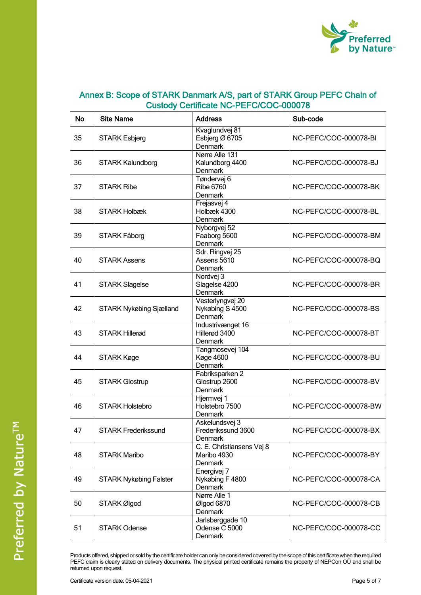

| <b>No</b> | <b>Site Name</b>               | <b>Address</b>                                             | Sub-code              |
|-----------|--------------------------------|------------------------------------------------------------|-----------------------|
| 35        | <b>STARK Esbjerg</b>           | Kvaglundvej 81<br>Esbjerg Ø 6705<br>Denmark                | NC-PEFC/COC-000078-BI |
| 36        | <b>STARK Kalundborg</b>        | Nørre Alle 131<br>Kalundborg 4400<br>Denmark               | NC-PEFC/COC-000078-BJ |
| 37        | <b>STARK Ribe</b>              | Tøndervej 6<br><b>Ribe 6760</b><br>Denmark                 | NC-PEFC/COC-000078-BK |
| 38        | <b>STARK Holbæk</b>            | Frejasvej 4<br>Holbæk 4300<br>Denmark                      | NC-PEFC/COC-000078-BL |
| 39        | STARK Fåborg                   | Nyborgvej 52<br>Faaborg 5600<br><b>Denmark</b>             | NC-PEFC/COC-000078-BM |
| 40        | <b>STARK Assens</b>            | Sdr. Ringvej 25<br>Assens 5610<br><b>Denmark</b>           | NC-PEFC/COC-000078-BQ |
| 41        | <b>STARK Slagelse</b>          | Nordvej 3<br>Slagelse 4200<br>Denmark                      | NC-PEFC/COC-000078-BR |
| 42        | <b>STARK Nykøbing Sjælland</b> | Vesterlyngvej 20<br>Nykøbing S 4500<br>Denmark             | NC-PEFC/COC-000078-BS |
| 43        | <b>STARK Hillerød</b>          | Industrivænget 16<br>Hillerød 3400<br>Denmark              | NC-PEFC/COC-000078-BT |
| 44        | STARK Køge                     | Tangmosevej 104<br><b>Køge 4600</b><br>Denmark             | NC-PEFC/COC-000078-BU |
| 45        | <b>STARK Glostrup</b>          | Fabriksparken 2<br>Glostrup 2600<br>Denmark                | NC-PEFC/COC-000078-BV |
| 46        | <b>STARK Holstebro</b>         | Hjermvej 1<br>Holstebro 7500<br>Denmark                    | NC-PEFC/COC-000078-BW |
| 47        | <b>STARK Frederikssund</b>     | Askelundsvej 3<br>Frederikssund 3600<br>Denmark            | NC-PEFC/COC-000078-BX |
| 48        | <b>STARK Maribo</b>            | C. E. Christiansens Vej 8<br>Maribo 4930<br><b>Denmark</b> | NC-PEFC/COC-000078-BY |
| 49        | <b>STARK Nykøbing Falster</b>  | Energivej 7<br>Nykøbing F 4800<br>Denmark                  | NC-PEFC/COC-000078-CA |
| 50        | STARK Ølgod                    | Nørre Alle 1<br>Ølgod 6870<br>Denmark                      | NC-PEFC/COC-000078-CB |
| 51        | <b>STARK Odense</b>            | Jarlsberggade 10<br>Odense C 5000<br>Denmark               | NC-PEFC/COC-000078-CC |

Products offered, shipped or sold by the certificate holder can only be considered covered by the scope of this certificate when the required PEFC claim is clearly stated on delivery documents. The physical printed certificate remains the property of NEPCon OU and shall be r Er e stamme steamy a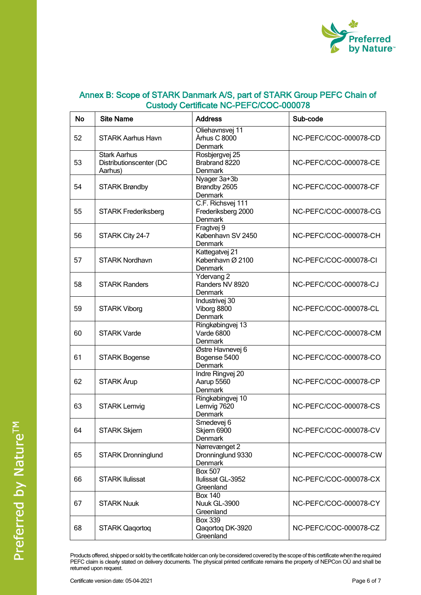

| <b>No</b> | <b>Site Name</b>                                          | <b>Address</b>                                            | Sub-code              |
|-----------|-----------------------------------------------------------|-----------------------------------------------------------|-----------------------|
| 52        | <b>STARK Aarhus Havn</b>                                  | Oliehavnsvej 11<br>Århus C 8000<br>Denmark                | NC-PEFC/COC-000078-CD |
| 53        | <b>Stark Aarhus</b><br>Distributionscenter (DC<br>Aarhus) | Rosbjergvej 25<br>Brabrand 8220<br>Denmark                | NC-PEFC/COC-000078-CE |
| 54        | <b>STARK Brøndby</b>                                      | Nyager 3a+3b<br>Brøndby 2605<br>Denmark                   | NC-PEFC/COC-000078-CF |
| 55        | <b>STARK Frederiksberg</b>                                | C.F. Richsvej 111<br>Frederiksberg 2000<br><b>Denmark</b> | NC-PEFC/COC-000078-CG |
| 56        | STARK City 24-7                                           | Fragtvej 9<br>København SV 2450<br>Denmark                | NC-PEFC/COC-000078-CH |
| 57        | <b>STARK Nordhavn</b>                                     | Kattegatvej 21<br>København Ø 2100<br>Denmark             | NC-PEFC/COC-000078-CI |
| 58        | <b>STARK Randers</b>                                      | Ydervang 2<br>Randers NV 8920<br>Denmark                  | NC-PEFC/COC-000078-CJ |
| 59        | <b>STARK Viborg</b>                                       | Industrivej 30<br>Viborg 8800<br>Denmark                  | NC-PEFC/COC-000078-CL |
| 60        | <b>STARK Varde</b>                                        | Ringkøbingvej 13<br>Varde 6800<br>Denmark                 | NC-PEFC/COC-000078-CM |
| 61        | <b>STARK Bogense</b>                                      | Østre Havnevej 6<br>Bogense 5400<br>Denmark               | NC-PEFC/COC-000078-CO |
| 62        | STARK Årup                                                | Indre Ringvej 20<br>Aarup 5560<br>Denmark                 | NC-PEFC/COC-000078-CP |
| 63        | <b>STARK Lemvig</b>                                       | Ringkøbingvej 10<br>Lemvig 7620<br>Denmark                | NC-PEFC/COC-000078-CS |
| 64        | <b>STARK Skjern</b>                                       | Smedevej 6<br>Skjern 6900<br>Denmark                      | NC-PEFC/COC-000078-CV |
| 65        | <b>STARK Dronninglund</b>                                 | Nørrevænget 2<br>Dronninglund 9330<br>Denmark             | NC-PEFC/COC-000078-CW |
| 66        | <b>STARK Ilulissat</b>                                    | <b>Box 507</b><br>Ilulissat GL-3952<br>Greenland          | NC-PEFC/COC-000078-CX |
| 67        | <b>STARK Nuuk</b>                                         | <b>Box 140</b><br>Nuuk GL-3900<br>Greenland               | NC-PEFC/COC-000078-CY |
| 68        | <b>STARK Qaqortoq</b>                                     | <b>Box 339</b><br>Qaqortoq DK-3920<br>Greenland           | NC-PEFC/COC-000078-CZ |

Products offered, shipped or sold by the certificate holder can only be considered covered by the scope of this certificate when the required PEFC claim is clearly stated on delivery documents. The physical printed certificate remains the property of NEPCon OU and shall be r Er e stamme steamy a